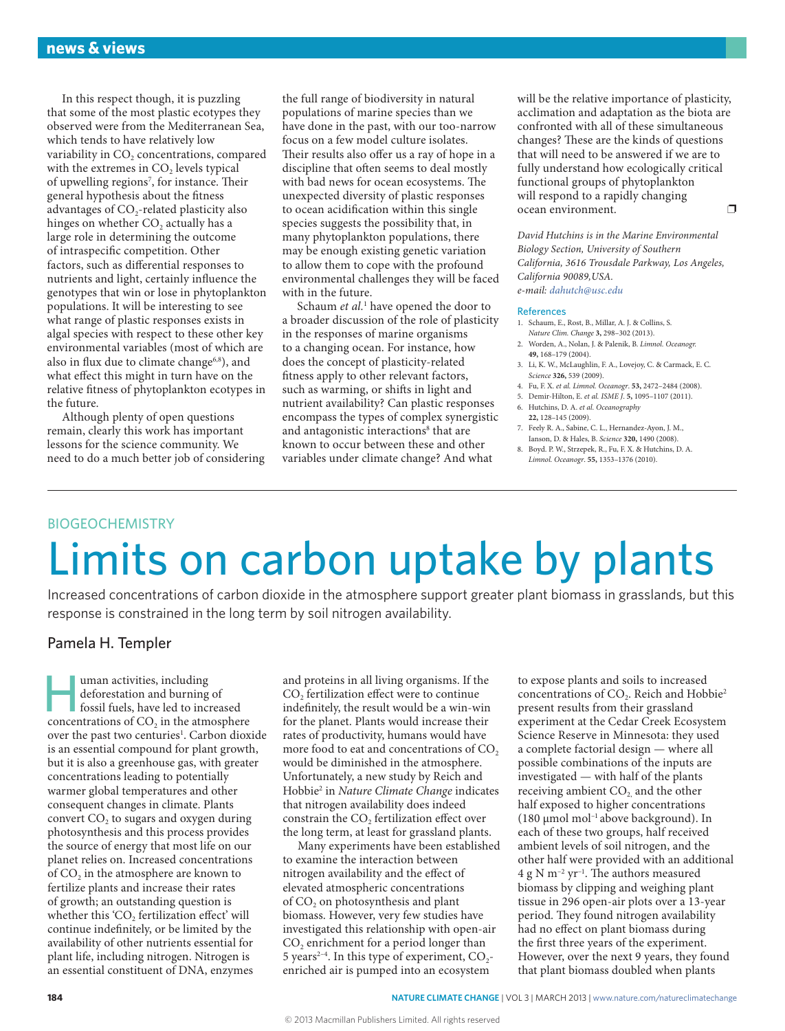In this respect though, it is puzzling that some of the most plastic ecotypes they observed were from the Mediterranean Sea, which tends to have relatively low variability in CO<sub>2</sub> concentrations, compared with the extremes in CO<sub>2</sub> levels typical of upwelling regions7 , for instance. Their general hypothesis about the fitness advantages of CO<sub>2</sub>-related plasticity also hinges on whether CO<sub>2</sub> actually has a large role in determining the outcome of intraspecific competition. Other factors, such as differential responses to nutrients and light, certainly influence the genotypes that win or lose in phytoplankton populations. It will be interesting to see what range of plastic responses exists in algal species with respect to these other key environmental variables (most of which are also in flux due to climate change<sup>6,8</sup>), and what effect this might in turn have on the relative fitness of phytoplankton ecotypes in the future.

Although plenty of open questions remain, clearly this work has important lessons for the science community. We need to do a much better job of considering

the full range of biodiversity in natural populations of marine species than we have done in the past, with our too-narrow focus on a few model culture isolates. Their results also offer us a ray of hope in a discipline that often seems to deal mostly with bad news for ocean ecosystems. The unexpected diversity of plastic responses to ocean acidification within this single species suggests the possibility that, in many phytoplankton populations, there may be enough existing genetic variation to allow them to cope with the profound environmental challenges they will be faced with in the future.

Schaum *et al.*<sup>1</sup> have opened the door to a broader discussion of the role of plasticity in the responses of marine organisms to a changing ocean. For instance, how does the concept of plasticity-related fitness apply to other relevant factors, such as warming, or shifts in light and nutrient availability? Can plastic responses encompass the types of complex synergistic and antagonistic interactions<sup>8</sup> that are known to occur between these and other variables under climate change? And what

will be the relative importance of plasticity, acclimation and adaptation as the biota are confronted with all of these simultaneous changes? These are the kinds of questions that will need to be answered if we are to fully understand how ecologically critical functional groups of phytoplankton will respond to a rapidly changing ocean environment. □

*David Hutchins is in the Marine Environmental Biology Section, University of Southern California, 3616 Trousdale Parkway, Los Angeles, California 90089,USA. e-mail: [dahutch@usc.edu](mailto:dahutch@usc.edu)*

## References

- 1. Schaum, E., Rost, B., Millar, A. J. & Collins, S. *Nature Clim. Change* **3,** 298–302 (2013).
- 2. Worden, A., Nolan, J. & Palenik, B. *Limnol. Oceanogr.* **49,** 168–179 (2004).
- 3. Li, K. W., McLaughlin, F. A., Lovejoy, C. & Carmack, E. C. *Science* **326,** 539 (2009).
- 4. Fu, F. X. *et al. Limnol. Oceanogr*. **53,** 2472–2484 (2008).
- 5. Demir-Hilton, E. *et al. ISME J*. **5,** 1095–1107 (2011).
- 6. Hutchins, D. A. *et al. Oceanography* **22,** 128–145 (2009).
- 7. Feely R. A., Sabine, C. L., Hernandez-Ayon, J. M., Ianson, D. & Hales, B. *Science* **320,** 1490 (2008).
- 8. Boyd. P. W., Strzepek, R., Fu, F. X. & Hutchins, D. A. *Limnol. Oceanogr*. **55,** 1353–1376 (2010).

## BIOGEOCHEMISTRY Limits on carbon uptake by plants

Increased concentrations of carbon dioxide in the atmosphere support greater plant biomass in grasslands, but this response is constrained in the long term by soil nitrogen availability.

## Pamela H. Templer

uman activities, including<br>deforestation and burning of<br>fossil fuels, have led to increased<br>concentrations of CO in the atmospher deforestation and burning of concentrations of  $CO<sub>2</sub>$  in the atmosphere over the past two centuries<sup>1</sup>. Carbon dioxide is an essential compound for plant growth, but it is also a greenhouse gas, with greater concentrations leading to potentially warmer global temperatures and other consequent changes in climate. Plants convert  $CO<sub>2</sub>$  to sugars and oxygen during photosynthesis and this process provides the source of energy that most life on our planet relies on. Increased concentrations of CO<sub>2</sub> in the atmosphere are known to fertilize plants and increase their rates of growth; an outstanding question is whether this 'CO<sub>2</sub> fertilization effect' will continue indefinitely, or be limited by the availability of other nutrients essential for plant life, including nitrogen. Nitrogen is an essential constituent of DNA, enzymes

and proteins in all living organisms. If the CO<sub>2</sub> fertilization effect were to continue indefinitely, the result would be a win-win for the planet. Plants would increase their rates of productivity, humans would have more food to eat and concentrations of CO<sub>2</sub> would be diminished in the atmosphere. Unfortunately, a new study by Reich and Hobbie2 in *Nature Climate Change* indicates that nitrogen availability does indeed constrain the  $CO<sub>2</sub>$  fertilization effect over the long term, at least for grassland plants.

Many experiments have been established to examine the interaction between nitrogen availability and the effect of elevated atmospheric concentrations of CO<sub>2</sub> on photosynthesis and plant biomass. However, very few studies have investigated this relationship with open-air  $CO<sub>2</sub>$  enrichment for a period longer than 5 years<sup>2-4</sup>. In this type of experiment,  $CO_2$ enriched air is pumped into an ecosystem

to expose plants and soils to increased concentrations of CO<sub>2</sub>. Reich and Hobbie<sup>2</sup> present results from their grassland experiment at the Cedar Creek Ecosystem Science Reserve in Minnesota: they used a complete factorial design — where all possible combinations of the inputs are investigated — with half of the plants receiving ambient  $CO<sub>2</sub>$  and the other half exposed to higher concentrations (180 μmol mol–1 above background). In each of these two groups, half received ambient levels of soil nitrogen, and the other half were provided with an additional 4 g N  $m^{-2}$  yr<sup>-1</sup>. The authors measured biomass by clipping and weighing plant tissue in 296 open-air plots over a 13-year period. They found nitrogen availability had no effect on plant biomass during the first three years of the experiment. However, over the next 9 years, they found that plant biomass doubled when plants